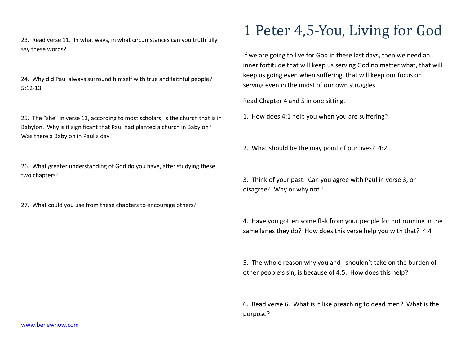23. Read verse 11. In what ways, in what circumstances can you truthfully say these words?

24. Why did Paul always surround himself with true and faithful people? 5:12-13

25. The "she" in verse 13, according to most scholars, is the church that is in Babylon. Why is it significant that Paul had planted a church in Babylon? Was there a Babylon in Paul's day?

26. What greater understanding of God do you have, after studying these two chapters?

27. What could you use from these chapters to encourage others?

## 1 Peter 4,5-You, Living for God

If we are going to live for God in these last days, then we need an inner fortitude that will keep us serving God no matter what, that will keep us going even when suffering, that will keep our focus on serving even in the midst of our own struggles.

Read Chapter 4 and 5 in one sitting.

1. How does 4:1 help you when you are suffering?

2. What should be the may point of our lives? 4:2

3. Think of your past. Can you agree with Paul in verse 3, or disagree? Why or why not?

4. Have you gotten some flak from your people for not running in the same lanes they do? How does this verse help you with that? 4:4

5. The whole reason why you and I shouldn't take on the burden of other people's sin, is because of 4:5. How does this help?

6. Read verse 6. What is it like preaching to dead men? What is the purpose?